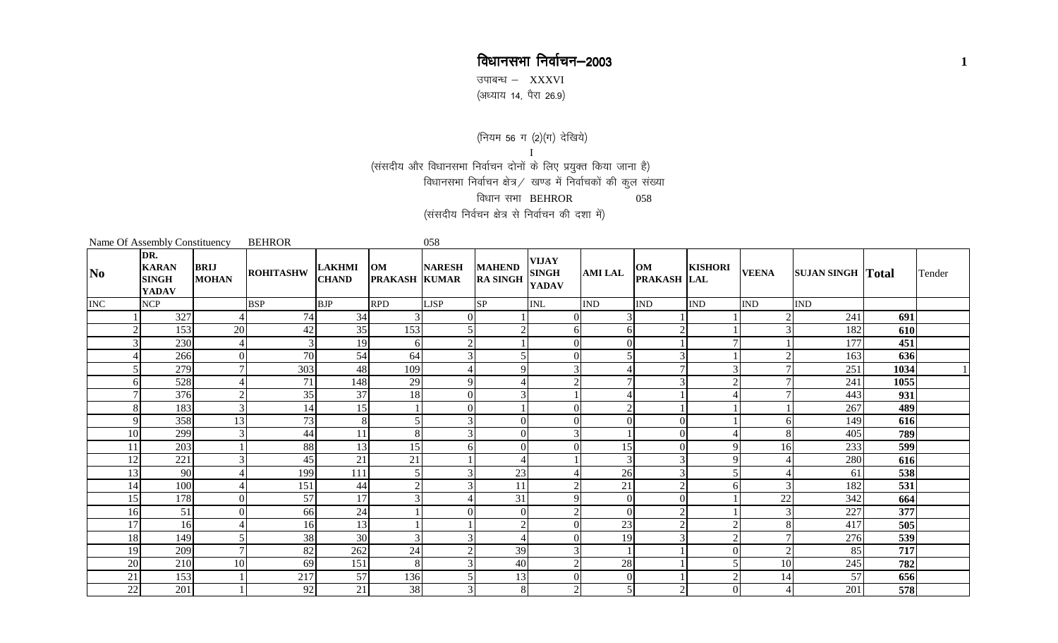## विधानसभा निर्वाचन–2003

उपाबन्ध $-$  XXXVI ,<br>(अध्याय 14, पैरा 26.9)

(नियम 56 ग (2)(ग) देखिये)

I<br>(संसदीय और विधानसभा निर्वाचन दोनों के लिए प्रयुक्त किया जाना है) विधानसभा निर्वाचन क्षेत्र / खण्ड में निर्वाचकों की कुल संख्या विधान $\overline{u}$ सभा BEHROR  $\overline{u}$  058 (संसदीय निर्वचन क्षेत्र से निर्वाचन की दशा में)

|                | Name Of Assembly Constituency                       |                             | <b>BEHROR</b>    |                               |                            | 058            |                                  |                                              |                |                            |                |                |                          |            |        |
|----------------|-----------------------------------------------------|-----------------------------|------------------|-------------------------------|----------------------------|----------------|----------------------------------|----------------------------------------------|----------------|----------------------------|----------------|----------------|--------------------------|------------|--------|
| N <sub>0</sub> | DR.<br><b>KARAN</b><br><b>SINGH</b><br><b>YADAV</b> | <b>BRIJ</b><br><b>MOHAN</b> | <b>ROHITASHW</b> | <b>LAKHMI</b><br><b>CHAND</b> | OM<br><b>PRAKASH KUMAR</b> | <b>NARESH</b>  | <b>MAHEND</b><br><b>RA SINGH</b> | <b>VIJAY</b><br><b>SINGH</b><br><b>YADAV</b> | <b>AMI LAL</b> | OM<br>PRAKASH LAL          | <b>KISHORI</b> | <b>VEENA</b>   | <b>SUJAN SINGH Total</b> |            | Tender |
| <b>INC</b>     | <b>NCP</b>                                          |                             | <b>BSP</b>       | <b>BJP</b>                    | <b>RPD</b>                 | <b>LJSP</b>    | <b>SP</b>                        | <b>INL</b>                                   | <b>IND</b>     | <b>IND</b>                 | <b>IND</b>     | <b>IND</b>     | <b>IND</b>               |            |        |
|                | 327                                                 |                             | 74               | 34                            |                            | $\Omega$       |                                  | $\Omega$                                     |                |                            |                |                | 241                      | 691        |        |
|                | 153                                                 | 20                          | 42               | 35                            | 153                        | 5              |                                  | 6                                            | $6 \mid$       | $\bigcap$                  |                | 3              | 182                      | 610        |        |
|                | 230                                                 | 4                           | 3                | 19                            | $6 \mid$                   | $\mathfrak{2}$ |                                  | $\Omega$                                     | 0              |                            |                |                | 177                      | 451        |        |
|                | 266                                                 | $\Omega$                    | $\overline{70}$  | 54                            | 64                         | 3              |                                  | $\Omega$                                     |                | $\mathcal{R}$              |                |                | 163                      | 636        |        |
|                | 279                                                 |                             | 303              | 48                            | 109                        |                | $\Omega$                         | $\mathcal{R}$                                |                |                            |                |                | 251                      | 1034       |        |
| 6              | 528                                                 |                             | 71               | 148                           | 29                         | 9              |                                  | $\overline{2}$                               |                | 3                          |                | 7              | 241                      | 1055       |        |
|                | 376                                                 |                             | 35               | 37                            | 18                         | $\overline{0}$ |                                  |                                              |                |                            |                |                | 443                      | 931        |        |
| 8              | 183                                                 | 3                           | 14               | 15                            |                            | $\overline{0}$ |                                  | $\Omega$                                     |                |                            |                |                | 267                      | 489        |        |
| 9              | 358                                                 | 13                          | 73               | 8                             | 5                          | 3              | $\Omega$                         | $\Omega$                                     |                | $\Omega$                   |                | $6 \mid$       | 149                      | 616        |        |
| 10             | 299                                                 |                             | 44               | 11                            | 8                          | $\mathcal{F}$  | $\Omega$                         | 3                                            |                | $\overline{0}$             |                | 8              | 405                      | 789        |        |
| 11             | 203                                                 |                             | 88               | 13                            | 15                         | 6              | $\Omega$                         | $\Omega$                                     | 15<br>⌒        | $\Omega$                   | $\Omega$       | 16             | 233                      | 599        |        |
| 12             | 221                                                 |                             | 45               | 21                            | 21                         |                |                                  |                                              |                | 3                          | ∩              |                | 280                      | 616        |        |
| 13             | 90                                                  |                             | 199              | 111                           | 5<br>$\sim$                | 3              | 23                               | <sup><math>\supset</math></sup>              | 26             | 3                          |                |                | 61                       | 538        |        |
| 14             | 100                                                 |                             | 151              | 44<br>17                      | $\mathbf{R}$               | 3              | 11                               | $\mathbf{Q}$                                 | 21<br>$\Omega$ | $\overline{2}$<br>$\Omega$ | 6              | 3              | 182                      | 531        |        |
| 15<br>16       | 178                                                 | $\Omega$<br>$\Omega$        | 57<br>66         | 24                            |                            | $\Omega$       | 31<br>$\Omega$                   | $\overline{2}$                               | $\Omega$       | 2                          |                | 22<br>3        | 342<br>227               | 664<br>377 |        |
| 17             | 51<br>16                                            |                             | 16               | 13                            |                            |                | $\sim$                           | $\Omega$                                     | 23             | $\gamma$                   |                | 8              | 417                      | 505        |        |
| 18             | 149                                                 |                             | 38               | 30                            | $\mathbf{3}$               | 3              |                                  | $\Omega$                                     | 19             |                            |                |                | 276                      | 539        |        |
| 19             | 209                                                 |                             | 82               | 262                           | 24                         | 2              | 39                               |                                              |                |                            | 0              | $\overline{2}$ | 85                       | 717        |        |
| 20             | 210                                                 | 10                          | 69               | 151                           | 8                          | 3              | 40                               | $\gamma$                                     | 28             |                            |                | 10             | 245                      | 782        |        |
| 21             | 153                                                 |                             | 217              | 57                            | 136                        | 5              | 13                               | $\Omega$                                     | 0              |                            |                | 14             | 57                       | 656        |        |
| 22             | 201                                                 |                             | 92               | 21                            | 38                         | $\overline{3}$ | 8                                | $\overline{2}$                               |                | 2                          | ΟI             |                | 201                      | 578        |        |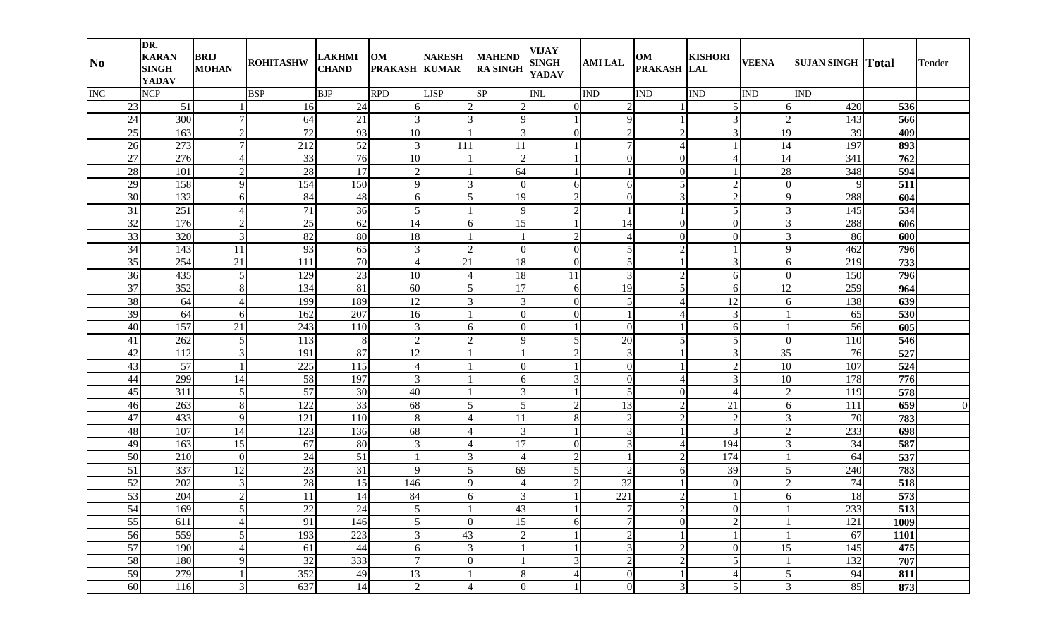| N <sub>0</sub>  | DR.<br><b>KARAN</b><br><b>SINGH</b><br><b>YADAV</b> | <b>BRIJ</b><br><b>MOHAN</b> | <b>ROHITASHW</b> | <b>LAKHMI</b><br><b>CHAND</b> | OM<br><b>PRAKASH KUMAR</b> | <b>NARESH</b>       | <b>MAHEND</b><br><b>RA SINGH</b> | VIJAY<br><b>SINGH</b><br><b>YADAV</b> | <b>AMILAL</b>                    | OM<br>PRAKASH LAL        | <b>KISHORI</b>           | <b>VEENA</b>   | <b>SUJAN SINGH Total</b> |      | Tender         |
|-----------------|-----------------------------------------------------|-----------------------------|------------------|-------------------------------|----------------------------|---------------------|----------------------------------|---------------------------------------|----------------------------------|--------------------------|--------------------------|----------------|--------------------------|------|----------------|
| <b>INC</b>      | <b>NCP</b>                                          |                             | <b>BSP</b>       | <b>BJP</b>                    | <b>RPD</b>                 | <b>LJSP</b>         | <b>SP</b>                        | <b>INL</b>                            | <b>IND</b>                       | <b>IND</b>               | <b>IND</b>               | <b>IND</b>     | <b>IND</b>               |      |                |
| 23              | 51                                                  |                             | 16               | 24                            | 6                          | $\overline{2}$      | $\overline{c}$                   | 01                                    | $\overline{2}$                   |                          | $\mathfrak{S}$           | 6              | 420                      | 536  |                |
| 24              | 300                                                 | $\tau$                      | 64               | 21                            | 3                          | $\overline{3}$      | 9                                |                                       | 9                                |                          | $\overline{\mathcal{E}}$ | $\overline{2}$ | 143                      | 566  |                |
| 25              | 163                                                 | 2                           | 72               | 93                            | 10                         | $\overline{1}$      | 3                                | $\overline{0}$                        | $\overline{2}$                   | $\overline{2}$           | 3                        | 19             | 39                       | 409  |                |
| 26              | 273                                                 | $\overline{7}$              | 212              | 52                            | 3                          | 111                 | 11                               |                                       | 7 <sup>1</sup>                   | $\overline{4}$           |                          | 14             | 197                      | 893  |                |
| 27              | 276                                                 | $\overline{4}$              | 33               | 76                            | 10                         |                     | $\overline{2}$                   |                                       | $\Omega$                         | $\overline{0}$           |                          | 14             | 341                      | 762  |                |
| 28              | 101                                                 | $\overline{2}$              | 28               | $\overline{17}$               | $\overline{2}$             | $\mathbf{1}$        | 64                               |                                       |                                  | $\mathbf{0}$             |                          | 28             | 348                      | 594  |                |
| 29              | 158                                                 | 9                           | 154              | 150                           | 9                          | $\overline{3}$      | 0                                | 6                                     | 6                                | 5 <sub>l</sub>           |                          | $\overline{0}$ | 9                        | 511  |                |
| 30              | 132                                                 | 6                           | 84               | 48                            | 6                          | 5 <sub>l</sub>      | 19                               | 2                                     | $\Omega$                         | $\overline{3}$           |                          | $\overline{9}$ | 288                      | 604  |                |
| 31              | 251                                                 | 4                           | 71               | 36                            | $\mathfrak{S}$             | $\mathbf{1}$        | 9                                | $\overline{2}$                        |                                  |                          |                          | $\overline{3}$ | 145                      | 534  |                |
| $\overline{32}$ | 176                                                 | 2                           | 25               | 62                            | 14                         | 6                   | 15                               |                                       | 14                               | $\overline{0}$           | 0                        | $\overline{3}$ | 288                      | 606  |                |
| 33              | 320                                                 | 3                           | 82               | 80                            | 18                         | 1                   |                                  | 2                                     | 4                                | $\overline{0}$           | 0                        | $\overline{3}$ | 86                       | 600  |                |
| 34              | 143                                                 | 11                          | 93               | 65                            | 3                          | $\overline{2}$      | $\Omega$                         | $\Omega$                              | $\mathbf{5}$                     | $\overline{2}$           |                          | 9              | 462                      | 796  |                |
| 35              | 254                                                 | 21                          | 111              | 70                            | $\overline{4}$             | 21                  | 18                               | $\Omega$                              | 5 <sub>l</sub>                   |                          | 3                        | 6              | 219                      | 733  |                |
| 36              | 435                                                 | 5                           | 129              | 23                            | 10                         | 4                   | 18                               | 11                                    | $\overline{3}$                   | $\overline{2}$           | 6                        | $\overline{0}$ | 150                      | 796  |                |
| 37              | 352                                                 | $\,8\,$                     | 134              | 81                            | 60                         | 5 <sub>l</sub>      | 17                               | 6                                     | 19                               | $\overline{5}$           | 6                        | 12             | 259                      | 964  |                |
| 38              | 64                                                  | $\overline{4}$              | 199              | 189                           | 12                         | $\overline{3}$      | 3                                | 0                                     | 5                                | 4                        | 12                       | 6              | 138                      | 639  |                |
| 39              | 64                                                  | 6                           | 162              | 207                           | 16                         | -1                  | 0                                | 0                                     |                                  | 4                        | 3                        |                | 65                       | 530  |                |
| 40              | 157                                                 | 21                          | 243              | 110                           | 3                          | 6                   | $\Omega$                         |                                       | $\Omega$                         |                          | 6                        |                | 56                       | 605  |                |
| 41              | 262                                                 | 5                           | 113              | $8\phantom{.}$                | $\overline{2}$             | $\overline{2}$      | 9                                | 5                                     | 20                               | $\overline{5}$           | $\mathcal{F}$            | $\overline{0}$ | 110                      | 546  |                |
| 42              | 112                                                 | 3                           | 191              | 87                            | 12                         | $\mathbf{1}$        |                                  | 2                                     | $\overline{3}$                   |                          | 3                        | 35             | 76                       | 527  |                |
| 43              | 57                                                  |                             | 225              | 115                           | $\overline{4}$             | -1                  | 0                                |                                       | $\Omega$                         |                          | C                        | 10             | 107                      | 524  |                |
| 44              | 299                                                 | 14                          | 58               | 197                           | 3                          | $\mathbf{1}$        | 6                                | 3                                     | $\overline{0}$                   | $\overline{\mathcal{A}}$ | 3                        | 10             | 178                      | 776  |                |
| 45              | 311                                                 | 5                           | 57               | 30                            | 40                         |                     | 3                                |                                       | $\mathfrak{S}$                   | $\overline{0}$           |                          | $\overline{2}$ | 119                      | 578  |                |
| 46              | 263                                                 | 8                           | 122              | 33                            | 68                         | 5                   | 5                                | $\overline{2}$                        | 13                               | $\overline{2}$           | 21                       | 6              | 111                      | 659  | $\overline{0}$ |
| 47              | 433                                                 | 9                           | 121              | 110                           | 8                          |                     | 11                               | 8                                     | $\overline{2}$                   | $\overline{2}$           | 2                        | $\mathbf{3}$   | 70                       | 783  |                |
| 48              | 107                                                 | 14                          | 123              | 136                           | 68                         |                     | 3                                |                                       | $\overline{3}$                   |                          | 3                        | $\overline{2}$ | 233                      | 698  |                |
| 49              | 163                                                 | 15                          | 67               | 80                            | 3                          | 4                   | 17                               | $\overline{0}$                        | $\overline{3}$                   | 4                        | 194                      | $\overline{3}$ | 34                       | 587  |                |
| 50              | 210                                                 | $\Omega$                    | 24               | 51                            | $\mathbf{1}$               | 3                   | 4                                | $\overline{2}$                        |                                  | $\overline{2}$           | 174                      |                | 64                       | 537  |                |
| 51              | 337                                                 | 12                          | 23               | 31                            | 9                          | 5 <sub>l</sub>      | 69                               | 5                                     | $\overline{2}$                   | 6                        | 39                       | 5 <sub>l</sub> | 240                      | 783  |                |
| 52              | 202                                                 | 3                           | 28               | 15                            | 146                        | 9                   |                                  | $\overline{2}$                        | 32                               |                          | $\Omega$                 | $\overline{2}$ | 74                       | 518  |                |
| 53              | 204                                                 | $\overline{2}$              | 11               | 14                            | 84                         | 6<br>$\overline{1}$ | 3                                |                                       | 221                              | $\overline{2}$           |                          | 6              | 18                       | 573  |                |
| 54              | 169                                                 | $\mathbf{5}$                | 22               | 24                            | 5 <sup>1</sup>             | $\mathbf{I}$        | 43                               |                                       | 7 <sup>1</sup><br>$\overline{7}$ | $\overline{c}$           | $\vert 0 \vert$          |                | 233                      | 513  |                |
| 55              | 611                                                 | $\overline{4}$              | 91               | 146                           | 5                          | $\overline{0}$      | 15                               | 6                                     |                                  | $\mathbf{0}$             | $\overline{2}$           |                | 121                      | 1009 |                |
| 56              | 559                                                 | 5                           | 193              | 223                           | 3                          | 43                  | 2                                |                                       | $\overline{2}$                   |                          |                          |                | 67                       | 1101 |                |
| 57              | 190                                                 | $\overline{4}$              | 61               | 44                            | 6                          | $\mathfrak{Z}$      |                                  |                                       | $\overline{3}$                   | $\overline{2}$           | $\overline{0}$           | 15             | 145                      | 475  |                |
| 58              | 180                                                 | 9                           | 32               | 333                           | $\overline{7}$             | $\overline{0}$      |                                  | 3                                     | $\overline{2}$                   | $\overline{2}$           | 5 <sup>1</sup>           |                | 132                      | 707  |                |
| 59              | 279                                                 |                             | 352              | 49                            | 13                         | 1                   | 8                                | 4                                     | $\overline{0}$                   |                          | 4                        | $\mathfrak{S}$ | 94                       | 811  |                |
| 60              | 116                                                 | $\overline{3}$              | 637              | 14                            | $\sqrt{2}$                 | $\overline{4}$      | $\overline{0}$                   |                                       | $\boldsymbol{0}$                 | $\mathfrak{Z}$           | $\mathbf{5}$             | $\overline{3}$ | 85                       | 873  |                |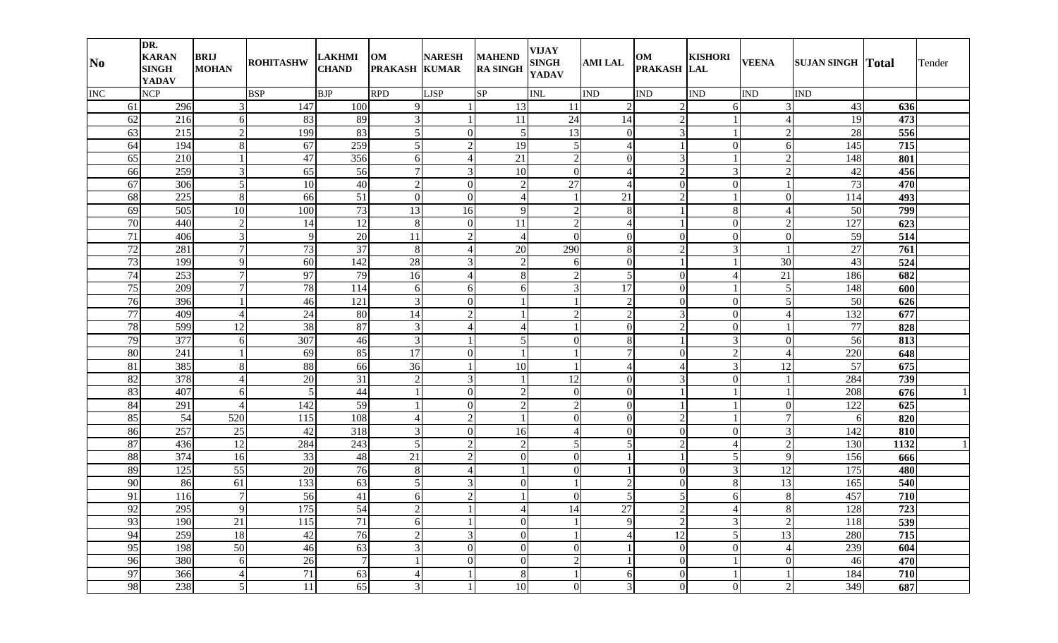| N <sub>0</sub>        | DR.<br><b>KARAN</b><br><b>SINGH</b><br><b>YADAV</b> | <b>BRIJ</b><br><b>MOHAN</b> | <b>ROHITASHW</b> | <b>LAKHMI</b><br><b>CHAND</b> | OM<br><b>PRAKASH KUMAR</b> | <b>NARESH</b>    | <b>MAHEND</b><br><b>RA SINGH</b> | <b>VIJAY</b><br><b>SINGH</b><br><b>YADAV</b> | <b>AMI LAL</b> | OM<br>PRAKASH LAL | <b>KISHORI</b> | <b>VEENA</b>   | <b>SUJAN SINGH Total</b> |      | Tender |
|-----------------------|-----------------------------------------------------|-----------------------------|------------------|-------------------------------|----------------------------|------------------|----------------------------------|----------------------------------------------|----------------|-------------------|----------------|----------------|--------------------------|------|--------|
| <b>INC</b>            | <b>NCP</b>                                          |                             | <b>BSP</b>       | <b>BJP</b>                    | <b>RPD</b>                 | <b>LJSP</b>      | <b>SP</b>                        | <b>INL</b>                                   | <b>IND</b>     | <b>IND</b>        | <b>IND</b>     | <b>IND</b>     | <b>IND</b>               |      |        |
| 61                    | 296                                                 | 3                           | 147              | 100                           | 9                          |                  | 13                               | 11                                           | $\overline{2}$ | $\overline{2}$    | 61             | 3              | 43                       | 636  |        |
| 62                    | 216                                                 | 6                           | 83               | 89                            | 3                          |                  | <sup>11</sup>                    | 24                                           | 14             | $\overline{2}$    |                |                | 19                       | 473  |        |
| 63                    | 215                                                 | $\overline{2}$              | 199              | 83                            | 5                          | $\overline{0}$   | 5                                | 13                                           | $\Omega$       | $\mathbf{3}$      |                | $\overline{2}$ | 28                       | 556  |        |
| 64                    | 194                                                 | 8                           | 67               | 259                           | 5                          | $\mathbf{2}$     | 19                               | $\mathfrak{S}$                               | $\overline{4}$ |                   | $\Omega$       | 6              | 145                      | 715  |        |
| 65                    | 210                                                 |                             | 47               | 356                           | 6                          | 4                | 21                               | $\overline{2}$                               | $\Omega$       | $\overline{3}$    |                | $\overline{2}$ | 148                      | 801  |        |
| 66                    | 259                                                 | 3                           | 65               | 56                            | $\overline{7}$             | $\overline{3}$   | 10                               | $\mathbf{0}$                                 | 4              | $\overline{2}$    | $\mathcal{L}$  | $\overline{2}$ | 42                       | 456  |        |
| 67                    | 306                                                 | 5                           | 10               | 40                            | $\overline{2}$             | $\overline{0}$   | 2                                | 27                                           | 4              | $\theta$          | $\Omega$       |                | 73                       | 470  |        |
| 68                    | 225                                                 | 8                           | 66               | 51                            | $\Omega$                   | $\theta$         |                                  |                                              | 21             | $\overline{2}$    |                | $\overline{0}$ | 114                      | 493  |        |
| 69                    | 505                                                 | 10                          | 100              | 73                            | 13                         | 16               | 9                                | $\overline{2}$                               | 8              |                   |                |                | 50                       | 799  |        |
| 70                    | 440                                                 | $\overline{2}$              | 14               | 12                            | $\,8\,$                    | $\boldsymbol{0}$ | 11                               | 2                                            | 4              |                   | $\Omega$       | $\overline{2}$ | 127                      | 623  |        |
| 71                    | 406                                                 | 3                           | 9                | 20                            | 11                         | $\overline{2}$   | 4                                | $\Omega$                                     | $\Omega$       | $\Omega$          | $\Omega$       | $\overline{0}$ | 59                       | 514  |        |
| 72                    | 281                                                 | 7                           | 73               | 37                            | 8                          | $\overline{4}$   | 20                               | 290                                          | 8              | $\overline{2}$    | 3              |                | 27                       | 761  |        |
| 73                    | 199                                                 | 9                           | 60               | 142                           | 28                         | 3                | $\mathfrak{D}$                   | 6                                            | $\Omega$       |                   |                | 30             | 43                       | 524  |        |
| 74                    | 253                                                 | 7                           | 97               | 79                            | 16                         | 4                | 8                                | $\overline{2}$                               | 5              | $\theta$          |                | 21             | 186                      | 682  |        |
| 75                    | 209                                                 | 7                           | 78               | 114                           | 6                          | 6                | 6                                | $\overline{3}$                               | 17             | $\Omega$          |                | 5 <sup>1</sup> | 148                      | 600  |        |
| 76                    | 396                                                 |                             | 46               | 121                           | 3                          | $\overline{0}$   |                                  |                                              | $\overline{2}$ | $\Omega$          | $\Omega$       | 5              | 50                       | 626  |        |
| 77                    | 409                                                 |                             | 24               | 80                            | 14                         | $\overline{2}$   |                                  | 2                                            | $\overline{2}$ | 3                 | $\Omega$       |                | 132                      | 677  |        |
| 78                    | 599                                                 | 12                          | 38               | 87                            | 3                          | 4                |                                  |                                              | $\Omega$       | $\overline{2}$    | $\Omega$       |                | 77                       | 828  |        |
| 79                    | 377                                                 | 6                           | 307              | 46                            | 3                          |                  | $\mathfrak{H}$                   | $\Omega$                                     | 8              |                   | $\mathcal{E}$  | $\overline{0}$ | 56                       | 813  |        |
| 80                    | 241                                                 |                             | 69               | 85                            | 17                         | $\overline{0}$   |                                  |                                              | 7              | $\Omega$          | $\gamma$       | $\Delta$       | 220                      | 648  |        |
| 81                    | 385                                                 | 8                           | 88               | 66                            | 36                         |                  | 10                               |                                              | $\overline{4}$ | $\overline{4}$    | $\mathcal{F}$  | 12             | 57                       | 675  |        |
| 82                    | 378                                                 |                             | 20               | $\overline{31}$               | $\overline{2}$             | 3                |                                  | $\overline{12}$                              | $\Omega$       | $\overline{3}$    | $\Omega$       |                | 284                      | 739  |        |
| 83                    | 407                                                 | 6                           | 5                | 44                            |                            | $\overline{0}$   | $\mathfrak{D}$                   | $\overline{0}$                               | $\Omega$       |                   |                |                | 208                      | 676  |        |
| 84                    | 291                                                 |                             | 142              | 59                            |                            | $\overline{0}$   | $\mathfrak{D}$                   | $\overline{2}$                               | $\Omega$       |                   |                | $\overline{0}$ | 122                      | 625  |        |
| 85                    | 54                                                  | 520                         | 115              | 108                           |                            | $\overline{c}$   |                                  | $\overline{0}$                               | $\Omega$       | 2                 |                | $\tau$         |                          | 820  |        |
| 86                    | 257                                                 | 25                          | 42               | 318                           | 3                          | $\overline{0}$   | 16                               | $\boldsymbol{\vartriangle}$                  | $\Omega$       | $\theta$          | $\Omega$       | $\overline{3}$ | 142                      | 810  |        |
| 87                    | 436                                                 | 12                          | 284              | 243                           | 5                          | $\overline{2}$   | 2                                | 5                                            | $\overline{5}$ | $\overline{2}$    |                | $\overline{2}$ | 130                      | 1132 |        |
| 88                    | 374                                                 | 16                          | 33               | 48                            | 21                         | $\overline{2}$   | $\Omega$                         | $\Omega$                                     |                |                   | 5              | 9              | 156                      | 666  |        |
| 89                    | 125                                                 | 55                          | 20               | 76                            | 8                          | $\overline{4}$   |                                  | $\overline{0}$                               |                | $\overline{0}$    | 3              | 12             | 175                      | 480  |        |
| 90                    | 86                                                  | 61                          | 133              | 63                            | 5                          | 3                |                                  |                                              | $\overline{2}$ | $\theta$          |                | 13             | 165                      | 540  |        |
| 91                    | 116                                                 | $\overline{7}$              | 56               | 41                            | 6                          | $\overline{c}$   |                                  | $\boldsymbol{0}$                             | $\mathfrak{H}$ | 5 <sub>l</sub>    | 6              | 8              | 457                      | 710  |        |
| $\Omega$<br><u>ντ</u> | 295                                                 | 9                           | 175              | 54                            | $\overline{2}$             | $\mathbf{I}$     |                                  | 14                                           | $27\,$         | $\overline{2}$    |                | $\overline{8}$ | 128                      | 723  |        |
| 93                    | 190                                                 | 21                          | 115              | 71                            | 6                          |                  | $\overline{0}$                   |                                              | $\overline{9}$ | $\overline{2}$    | $\overline{3}$ | $\overline{2}$ | 118                      | 539  |        |
| 94                    | 259                                                 | 18                          | 42               | 76                            | $\overline{2}$             | $\overline{3}$   | $\overline{0}$                   |                                              | 4              | 12                | $\overline{5}$ | 13             | 280                      | 715  |        |
| 95                    | 198                                                 | 50                          | 46               | 63                            | 3                          | $\overline{0}$   | $\overline{0}$                   | $\mathbf{0}$                                 |                | $\overline{0}$    | $\overline{0}$ | $\overline{4}$ | 239                      | 604  |        |
| 96                    | 380                                                 | 6                           | 26               | $7\phantom{.0}$               |                            | $\overline{0}$   | $\overline{0}$                   | $\overline{2}$                               |                | $\overline{0}$    |                | $\mathbf{0}$   | 46                       | 470  |        |
| 97                    | 366                                                 | $\overline{4}$              | 71               | 63                            | 4                          |                  | 8                                |                                              | $6 \mid$       | $\mathbf{0}$      |                |                | 184                      | 710  |        |
| 98                    | 238                                                 | 5                           | 11               | 65                            | $\overline{3}$             |                  | 10                               | $\boldsymbol{0}$                             | $\overline{3}$ | $\mathbf{0}$      | $\overline{0}$ | $\overline{2}$ | 349                      | 687  |        |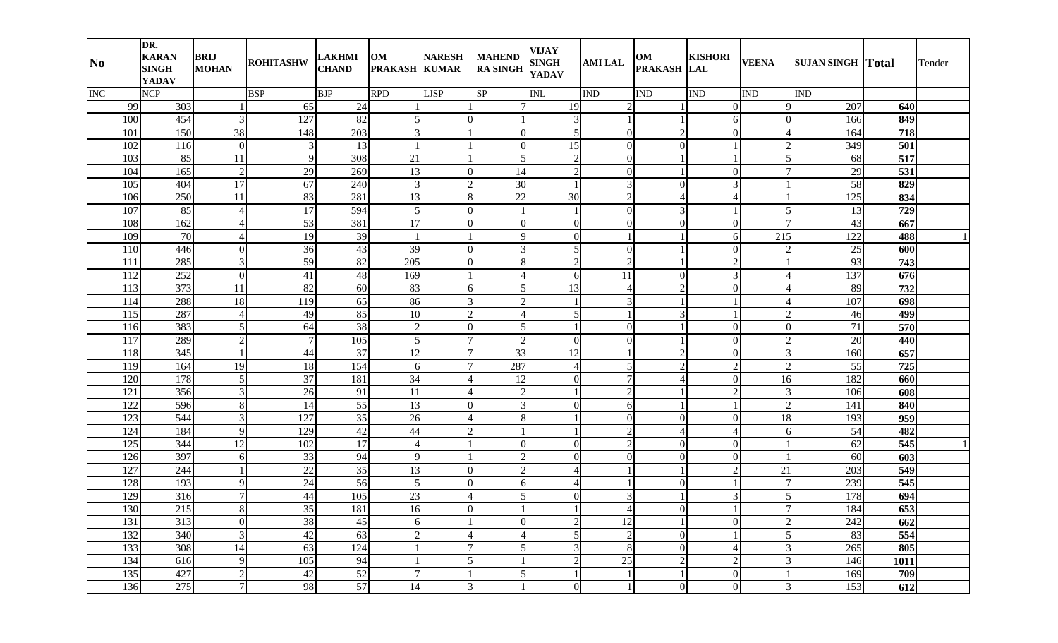| $\overline{\text{No}}$ | DR.<br><b>KARAN</b><br><b>SINGH</b><br><b>YADAV</b> | <b>BRIJ</b><br><b>MOHAN</b> | <b>ROHITASHW</b> | <b>LAKHMI</b><br><b>CHAND</b> | OM<br><b>PRAKASH KUMAR</b> | <b>NARESH</b>           | <b>MAHEND</b><br><b>RA SINGH</b> | <b>VIJAY</b><br><b>SINGH</b><br><b>YADAV</b> | <b>AMI LAL</b> | OM<br>PRAKASH LAL | <b>KISHORI</b> | <b>VEENA</b>    | <b>SUJAN SINGH Total</b> |      | Tender |
|------------------------|-----------------------------------------------------|-----------------------------|------------------|-------------------------------|----------------------------|-------------------------|----------------------------------|----------------------------------------------|----------------|-------------------|----------------|-----------------|--------------------------|------|--------|
| INC                    | <b>NCP</b>                                          |                             | <b>BSP</b>       | <b>BJP</b>                    | <b>RPD</b>                 | <b>LJSP</b>             | <b>SP</b>                        | <b>INL</b>                                   | <b>IND</b>     | <b>IND</b>        | <b>IND</b>     | <b>IND</b>      | <b>IND</b>               |      |        |
| 99                     | 303                                                 |                             | 65               | 24                            |                            |                         | 7                                | 19                                           | $\mathcal{D}$  |                   | $\Omega$       | $\overline{Q}$  | 207                      | 640  |        |
| 100                    | 454                                                 | 3                           | 127              | 82                            | 5                          | $\overline{0}$          |                                  | 3                                            |                |                   | 61             | $\overline{0}$  | 166                      | 849  |        |
| 101                    | 150                                                 | $\overline{38}$             | 148              | 203                           | 3                          |                         | $\Omega$                         | 5                                            | $\Omega$       | 2                 | $\Omega$       | $\overline{4}$  | 164                      | 718  |        |
| 102                    | 116                                                 | $\overline{0}$              | 3                | 13                            |                            |                         | $\Omega$                         | 15                                           | $\Omega$       | $\Omega$          |                | $\overline{2}$  | 349                      | 501  |        |
| 103                    | 85                                                  | 11                          | 9                | 308                           | 21                         |                         | $\mathfrak{S}$                   | $\overline{2}$                               | $\Omega$       |                   |                | 5 <sup>1</sup>  | 68                       | 517  |        |
| 104                    | 165                                                 | $\overline{2}$              | 29               | 269                           | 13                         | $\overline{0}$          | 14                               | $\overline{2}$                               | $\Omega$       |                   | $\Omega$       | $\tau$          | 29                       | 531  |        |
| 105                    | 404                                                 | 17                          | 67               | 240                           | 3                          | $\overline{2}$          | 30                               |                                              | $\overline{3}$ | $\theta$          | 3              |                 | 58                       | 829  |        |
| 106                    | 250                                                 | 11                          | 83               | 281                           | 13                         | 8                       | 22                               | 30                                           | $\overline{2}$ | $\overline{4}$    |                |                 | 125                      | 834  |        |
| 107                    | 85                                                  |                             | 17               | 594                           | 5                          | $\Omega$                |                                  |                                              | $\Omega$       | $\overline{3}$    |                | 5               | 13                       | 729  |        |
| 108                    | 162                                                 |                             | 53               | 381                           | 17                         | $\Omega$                | $\Omega$                         | $\overline{0}$                               | $\Omega$       | $\Omega$          | $\Omega$       | $\tau$          | 43                       | 667  |        |
| 109                    | 70                                                  |                             | 19               | 39                            |                            |                         | 9                                | $\overline{0}$                               |                |                   | 6              | 215             | 122                      | 488  |        |
| 110                    | 446                                                 | $\overline{0}$              | 36               | 43                            | 39                         | $\overline{0}$          | 3                                | 5                                            | $\Omega$       |                   | $\Omega$       | 2               | $25\,$                   | 600  |        |
| 111                    | 285                                                 | 3                           | 59               | 82                            | 205                        | $\overline{0}$          | 8                                | $\overline{2}$                               | $\overline{2}$ |                   | $\gamma$       |                 | 93                       | 743  |        |
| 112                    | 252                                                 | $\overline{0}$              | 41               | 48                            | 169                        |                         |                                  | 6                                            | 11             | $\theta$          | 3              | $\Delta$        | 137                      | 676  |        |
| 113                    | 373                                                 | 11                          | 82               | 60                            | 83                         | 6                       | 5                                | 13                                           | 4              | $\overline{2}$    | $\Omega$       | $\Delta$        | 89                       | 732  |        |
| 114                    | 288                                                 | 18                          | 119              | 65                            | 86                         | 3                       | $\mathcal{D}$                    |                                              | 3              |                   |                | $\Delta$        | 107                      | 698  |        |
| 115                    | 287                                                 |                             | 49               | 85                            | 10                         | $\overline{2}$          |                                  | 5 <sup>1</sup>                               |                | $\overline{3}$    |                | $\overline{2}$  | 46                       | 499  |        |
| 116                    | 383                                                 | 5                           | 64               | 38                            | 2                          | $\Omega$                | $\mathfrak{H}$                   |                                              | $\Omega$       |                   | $\Omega$       | $\Omega$        | 71                       | 570  |        |
| 117                    | 289                                                 | $\overline{2}$              | $\overline{7}$   | 105                           | 5                          | $\overline{7}$          | 2                                | $\overline{0}$                               | $\Omega$       |                   | $\Omega$       | $\overline{2}$  | 20                       | 440  |        |
| 118                    | 345                                                 |                             | 44               | 37                            | 12                         | $\overline{7}$          | 33                               | 12                                           |                | $\overline{2}$    | $\Omega$       | $\overline{3}$  | 160                      | 657  |        |
| 119                    | 164                                                 | 19                          | 18               | 154                           | 6                          | $\overline{7}$          | 287                              | $\boldsymbol{\vartriangle}$                  | 5 <sub>l</sub> | $\overline{2}$    | $\mathcal{D}$  | $\overline{2}$  | 55                       | 725  |        |
| 120                    | 178                                                 | 5                           | 37               | 181                           | 34                         | 4                       | 12                               | $\overline{0}$                               | 7              | $\overline{4}$    | $\Omega$       | 16              | 182                      | 660  |        |
| 121                    | 356                                                 | 3                           | 26               | 91                            | 11                         | 4                       | 2                                |                                              | $\overline{2}$ |                   | ◠              | 3               | 106                      | 608  |        |
| 122                    | 596                                                 | 8                           | 14               | 55                            | 13                         | $\Omega$                | 3                                | $\Omega$                                     | 61             |                   |                | $\overline{2}$  | 141                      | 840  |        |
| 123                    | 544                                                 | 3                           | 127              | $\overline{35}$               | 26                         | 4                       | 8                                |                                              | $\Omega$       | $\Omega$          |                | $\overline{18}$ | 193                      | 959  |        |
| 124                    | 184                                                 | 9                           | 129              | 42                            | 44                         | $\overline{2}$          |                                  |                                              | $\overline{2}$ | $\overline{4}$    |                | 6               | 54                       | 482  |        |
| 125                    | 344                                                 | 12                          | 102              | $\overline{17}$               | 4                          |                         | ∩                                | $\Omega$                                     | $\overline{2}$ | $\Omega$          | $\Omega$       |                 | 62                       | 545  |        |
| 126                    | 397                                                 | 6                           | 33               | 94                            | 9                          |                         | $\mathcal{D}$                    | $\Omega$                                     | $\Omega$       | $\theta$          | $\Omega$       |                 | 60                       | 603  |        |
| 127                    | 244                                                 |                             | $22\,$           | 35                            | 13                         | $\Omega$                | $\mathcal{D}$                    | 4                                            |                |                   |                | 21              | 203                      | 549  |        |
| 128                    | 193                                                 | 9                           | 24               | 56                            | 5                          | $\Omega$                | 6                                | 4                                            |                | $\Omega$          |                | 7               | 239                      | 545  |        |
| 129                    | 316                                                 |                             | 44               | 105                           | 23                         | Δ                       |                                  | 0                                            | 3              |                   |                | 5 <sup>1</sup>  | 178                      | 694  |        |
| 130                    | 215                                                 | $\mathbf{Q}$                | 35               | 181                           | 16                         | $\Omega$<br>$\mathbf v$ |                                  | л.                                           |                | $\Omega$<br>v     |                | 7 <sup>1</sup>  | 184                      | 653  |        |
| 131                    | 313                                                 | $\boldsymbol{0}$            | 38               | 45                            | 6                          |                         | $\overline{0}$                   | $\overline{2}$                               | 12             |                   | $\overline{0}$ | $\overline{2}$  | 242                      | 662  |        |
| 132                    | 340                                                 | 3                           | 42               | 63                            | $\overline{2}$             | 4                       | 4                                | 5                                            | $\overline{2}$ | $\overline{0}$    |                | 5 <sup>1</sup>  | 83                       | 554  |        |
| 133                    | 308                                                 | 14                          | 63               | 124                           |                            | $7 \,$                  | 5                                | 3                                            | 8              | $\overline{0}$    | $\overline{4}$ | $\overline{3}$  | 265                      | 805  |        |
| 134                    | 616                                                 | 9                           | 105              | 94                            |                            | 5 <sub>l</sub>          |                                  | $\overline{2}$                               | 25             | $\overline{2}$    | $\overline{2}$ | 3               | 146                      | 1011 |        |
| 135                    | 427                                                 | $\boldsymbol{2}$            | 42               | 52                            | 7                          |                         | 5                                |                                              |                | 1                 | $\overline{0}$ |                 | 169                      | 709  |        |
| 136                    | 275                                                 | $\overline{7}$              | 98               | 57                            | 14                         | $\mathfrak{Z}$          |                                  | $\boldsymbol{0}$                             |                | $\mathbf{0}$      | $\overline{0}$ | 3 <sup>l</sup>  | 153                      | 612  |        |